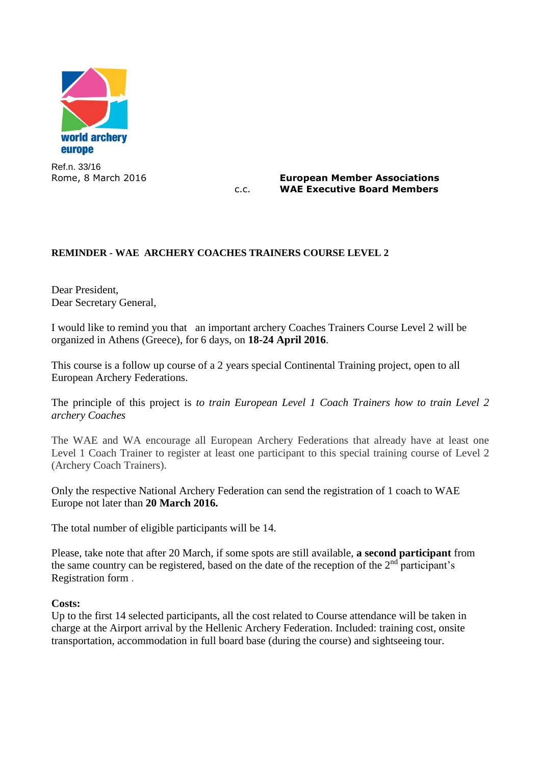

Ref.n. 33/16

Rome, 8 March 2016 **European Member Associations** c.c. **WAE Executive Board Members**

## **REMINDER - WAE ARCHERY COACHES TRAINERS COURSE LEVEL 2**

Dear President, Dear Secretary General,

I would like to remind you that an important archery Coaches Trainers Course Level 2 will be organized in Athens (Greece), for 6 days, on **18-24 April 2016**.

This course is a follow up course of a 2 years special Continental Training project, open to all European Archery Federations.

The principle of this project is *to train European Level 1 Coach Trainers how to train Level 2 archery Coaches*

The WAE and WA encourage all European Archery Federations that already have at least one Level 1 Coach Trainer to register at least one participant to this special training course of Level 2 (Archery Coach Trainers).

Only the respective National Archery Federation can send the registration of 1 coach to WAE Europe not later than **20 March 2016.**

The total number of eligible participants will be 14.

Please, take note that after 20 March, if some spots are still available, **a second participant** from the same country can be registered, based on the date of the reception of the  $2<sup>nd</sup>$  participant's Registration form .

## **Costs:**

Up to the first 14 selected participants, all the cost related to Course attendance will be taken in charge at the Airport arrival by the Hellenic Archery Federation. Included: training cost, onsite transportation, accommodation in full board base (during the course) and sightseeing tour.